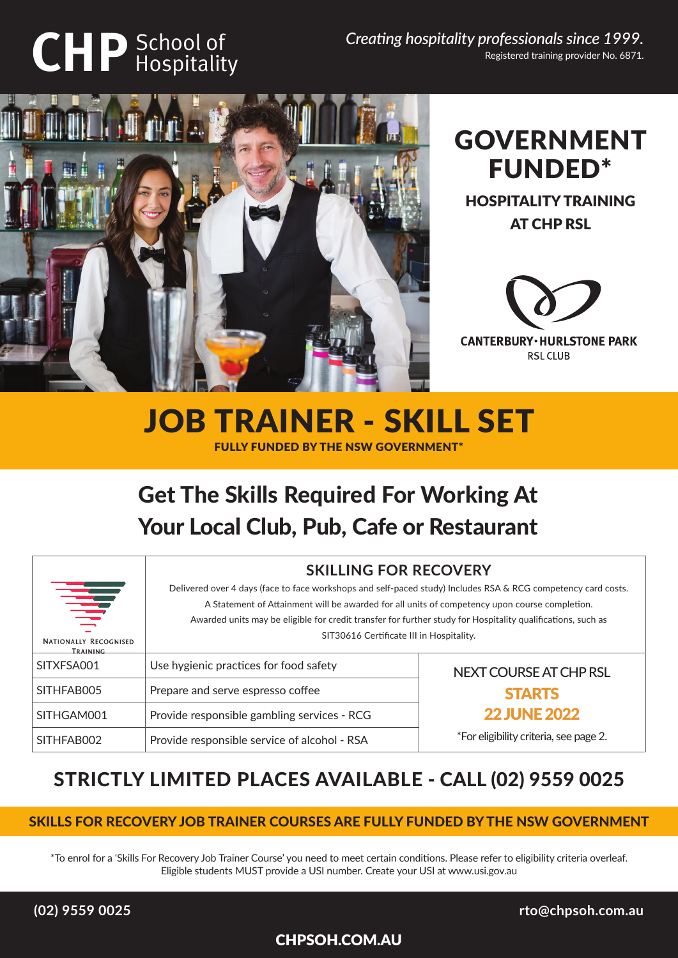# **CHP** School of

*Creating hospitality professionals since 1999.* Registered training provider No. 6871.





HOSPITALITY TRAINING AT CHP RSL



## JOB TRAINER - SKILL SET FULLY FUNDED BY THE NSW GOVERNMENT\*

# Get The Skills Required For Working At Your Local Club, Pub, Cafe or Restaurant

|                                          | <b>SKILLING FOR RECOVERY</b>                                                                                  |                                        |
|------------------------------------------|---------------------------------------------------------------------------------------------------------------|----------------------------------------|
|                                          | Delivered over 4 days (face to face workshops and self-paced study) Includes RSA & RCG competency card costs. |                                        |
| 夸                                        | A Statement of Attainment will be awarded for all units of competency upon course completion.                 |                                        |
|                                          | Awarded units may be eligible for credit transfer for further study for Hospitality qualifications, such as   |                                        |
| <b>NATIONALLY RECOGNISED</b><br>TRAINING | SIT30616 Certificate III in Hospitality.                                                                      |                                        |
| SITXFSA001                               | Use hygienic practices for food safety                                                                        | NEXT COURSE AT CHP RSL                 |
| SITHFAB005                               | Prepare and serve espresso coffee                                                                             | <b>STARTS</b>                          |
| SITHGAM001                               | Provide responsible gambling services - RCG                                                                   | <b>22 JUNE 2022</b>                    |
| SITHFAB002                               | Provide responsible service of alcohol - RSA                                                                  | *For eligibility criteria, see page 2. |

## STRICTLY LIMITED PLACES AVAILABLE - CALL (02) 9559 0025

## SKILLS FOR RECOVERY JOB TRAINER COURSES ARE FULLY FUNDED BY THE NSW GOVERNMENT

\*To enrol for a 'Skills For Recovery Job Trainer Course' you need to meet certain conditions. Please refer to eligibility criteria overleaf. Eligible students MUST provide a USI number. Create your USI at www.usi.gov.au

CHPSOH.COM.AU